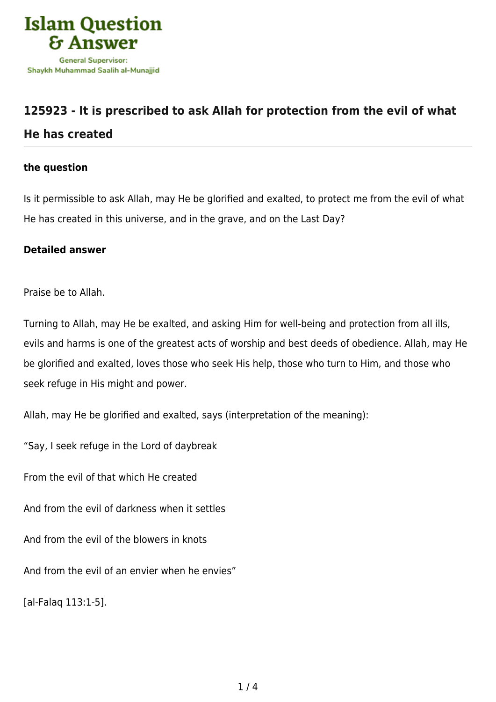

## **[125923 - It is prescribed to ask Allah for protection from the evil of what](https://islamqa.com/en/answers/125923/it-is-prescribed-to-ask-allah-for-protection-from-the-evil-of-what-he-has-created) [He has created](https://islamqa.com/en/answers/125923/it-is-prescribed-to-ask-allah-for-protection-from-the-evil-of-what-he-has-created)**

## **the question**

Is it permissible to ask Allah, may He be glorified and exalted, to protect me from the evil of what He has created in this universe, and in the grave, and on the Last Day?

## **Detailed answer**

Praise be to Allah.

Turning to Allah, may He be exalted, and asking Him for well-being and protection from all ills, evils and harms is one of the greatest acts of worship and best deeds of obedience. Allah, may He be glorified and exalted, loves those who seek His help, those who turn to Him, and those who seek refuge in His might and power.

Allah, may He be glorified and exalted, says (interpretation of the meaning):

"Say, I seek refuge in the Lord of daybreak

From the evil of that which He created

And from the evil of darkness when it settles

And from the evil of the blowers in knots

And from the evil of an envier when he envies"

[al-Falaq 113:1-5].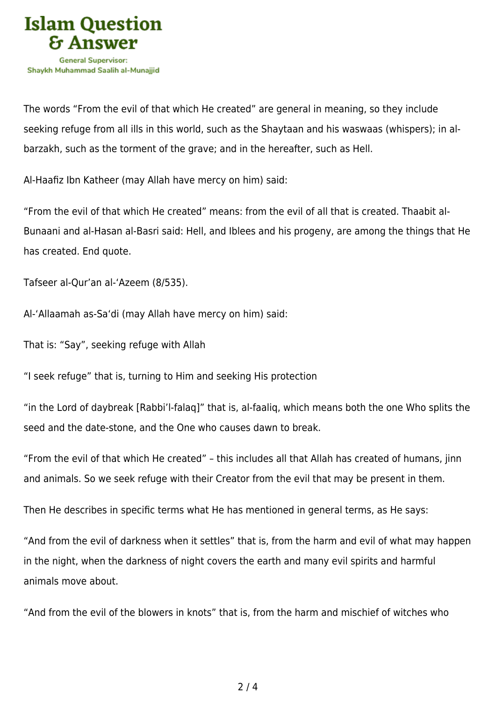

The words "From the evil of that which He created" are general in meaning, so they include seeking refuge from all ills in this world, such as the Shaytaan and his waswaas (whispers); in albarzakh, such as the torment of the grave; and in the hereafter, such as Hell.

Al-Haafiz Ibn Katheer (may Allah have mercy on him) said:

"From the evil of that which He created" means: from the evil of all that is created. Thaabit al-Bunaani and al-Hasan al-Basri said: Hell, and Iblees and his progeny, are among the things that He has created. End quote.

Tafseer al-Qur'an al-'Azeem (8/535).

Al-'Allaamah as-Sa'di (may Allah have mercy on him) said:

That is: "Say", seeking refuge with Allah

"I seek refuge" that is, turning to Him and seeking His protection

"in the Lord of daybreak [Rabbi'l-falaq]" that is, al-faaliq, which means both the one Who splits the seed and the date-stone, and the One who causes dawn to break.

"From the evil of that which He created" – this includes all that Allah has created of humans, jinn and animals. So we seek refuge with their Creator from the evil that may be present in them.

Then He describes in specific terms what He has mentioned in general terms, as He says:

"And from the evil of darkness when it settles" that is, from the harm and evil of what may happen in the night, when the darkness of night covers the earth and many evil spirits and harmful animals move about.

"And from the evil of the blowers in knots" that is, from the harm and mischief of witches who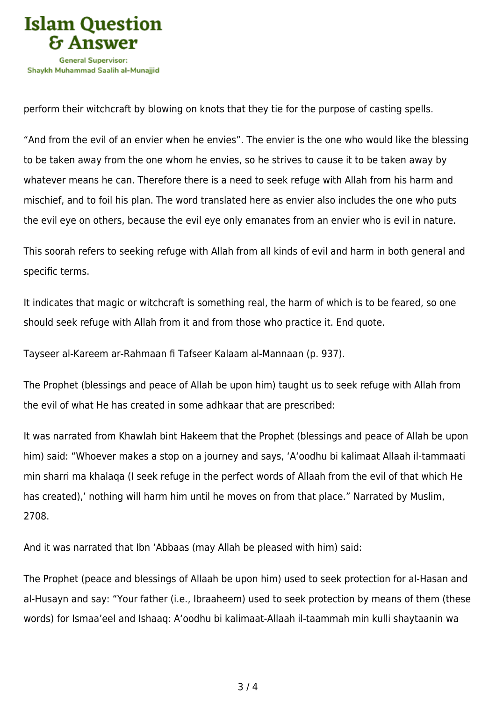

perform their witchcraft by blowing on knots that they tie for the purpose of casting spells.

"And from the evil of an envier when he envies". The envier is the one who would like the blessing to be taken away from the one whom he envies, so he strives to cause it to be taken away by whatever means he can. Therefore there is a need to seek refuge with Allah from his harm and mischief, and to foil his plan. The word translated here as envier also includes the one who puts the evil eye on others, because the evil eye only emanates from an envier who is evil in nature.

This soorah refers to seeking refuge with Allah from all kinds of evil and harm in both general and specific terms.

It indicates that magic or witchcraft is something real, the harm of which is to be feared, so one should seek refuge with Allah from it and from those who practice it. End quote.

Tayseer al-Kareem ar-Rahmaan fi Tafseer Kalaam al-Mannaan (p. 937).

The Prophet (blessings and peace of Allah be upon him) taught us to seek refuge with Allah from the evil of what He has created in some adhkaar that are prescribed:

It was narrated from Khawlah bint Hakeem that the Prophet (blessings and peace of Allah be upon him) said: "Whoever makes a stop on a journey and says, 'A'oodhu bi kalimaat Allaah il-tammaati min sharri ma khalaqa (I seek refuge in the perfect words of Allaah from the evil of that which He has created),' nothing will harm him until he moves on from that place." Narrated by Muslim, 2708.

And it was narrated that Ibn 'Abbaas (may Allah be pleased with him) said:

The Prophet (peace and blessings of Allaah be upon him) used to seek protection for al-Hasan and al-Husayn and say: "Your father (i.e., Ibraaheem) used to seek protection by means of them (these words) for Ismaa'eel and Ishaaq: A'oodhu bi kalimaat-Allaah il-taammah min kulli shaytaanin wa